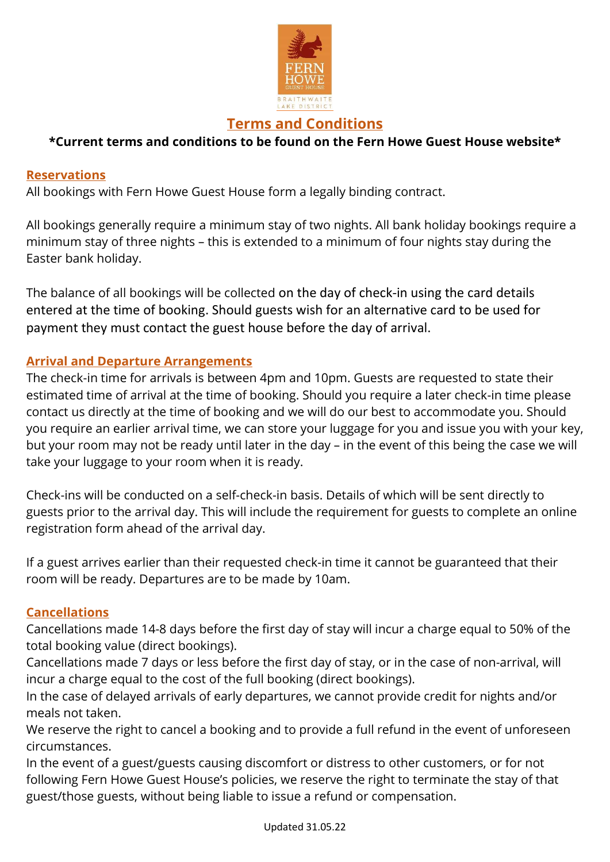

# Terms and Conditions

## \*Current terms and conditions to be found on the Fern Howe Guest House website\*

#### Reservations

All bookings with Fern Howe Guest House form a legally binding contract.

All bookings generally require a minimum stay of two nights. All bank holiday bookings require a minimum stay of three nights – this is extended to a minimum of four nights stay during the Easter bank holiday.

The balance of all bookings will be collected on the day of check-in using the card details entered at the time of booking. Should guests wish for an alternative card to be used for payment they must contact the guest house before the day of arrival.

## Arrival and Departure Arrangements

The check-in time for arrivals is between 4pm and 10pm. Guests are requested to state their estimated time of arrival at the time of booking. Should you require a later check-in time please contact us directly at the time of booking and we will do our best to accommodate you. Should you require an earlier arrival time, we can store your luggage for you and issue you with your key, but your room may not be ready until later in the day – in the event of this being the case we will take your luggage to your room when it is ready.

Check-ins will be conducted on a self-check-in basis. Details of which will be sent directly to guests prior to the arrival day. This will include the requirement for guests to complete an online registration form ahead of the arrival day.

If a guest arrives earlier than their requested check-in time it cannot be guaranteed that their room will be ready. Departures are to be made by 10am.

## Cancellations

Cancellations made 14-8 days before the first day of stay will incur a charge equal to 50% of the total booking value (direct bookings).

Cancellations made 7 days or less before the first day of stay, or in the case of non-arrival, will incur a charge equal to the cost of the full booking (direct bookings).

In the case of delayed arrivals of early departures, we cannot provide credit for nights and/or meals not taken.

We reserve the right to cancel a booking and to provide a full refund in the event of unforeseen circumstances.

In the event of a guest/guests causing discomfort or distress to other customers, or for not following Fern Howe Guest House's policies, we reserve the right to terminate the stay of that guest/those guests, without being liable to issue a refund or compensation.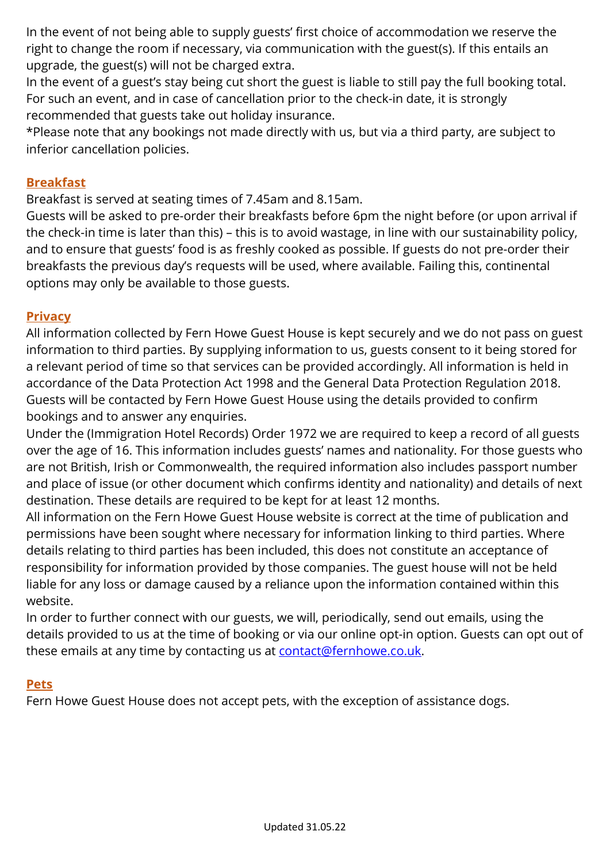In the event of not being able to supply guests' first choice of accommodation we reserve the right to change the room if necessary, via communication with the guest(s). If this entails an upgrade, the guest(s) will not be charged extra.

In the event of a guest's stay being cut short the guest is liable to still pay the full booking total. For such an event, and in case of cancellation prior to the check-in date, it is strongly recommended that guests take out holiday insurance.

\*Please note that any bookings not made directly with us, but via a third party, are subject to inferior cancellation policies.

## Breakfast

Breakfast is served at seating times of 7.45am and 8.15am.

Guests will be asked to pre-order their breakfasts before 6pm the night before (or upon arrival if the check-in time is later than this) – this is to avoid wastage, in line with our sustainability policy, and to ensure that guests' food is as freshly cooked as possible. If guests do not pre-order their breakfasts the previous day's requests will be used, where available. Failing this, continental options may only be available to those guests.

## **Privacy**

All information collected by Fern Howe Guest House is kept securely and we do not pass on guest information to third parties. By supplying information to us, guests consent to it being stored for a relevant period of time so that services can be provided accordingly. All information is held in accordance of the Data Protection Act 1998 and the General Data Protection Regulation 2018. Guests will be contacted by Fern Howe Guest House using the details provided to confirm bookings and to answer any enquiries.

Under the (Immigration Hotel Records) Order 1972 we are required to keep a record of all guests over the age of 16. This information includes guests' names and nationality. For those guests who are not British, Irish or Commonwealth, the required information also includes passport number and place of issue (or other document which confirms identity and nationality) and details of next destination. These details are required to be kept for at least 12 months.

All information on the Fern Howe Guest House website is correct at the time of publication and permissions have been sought where necessary for information linking to third parties. Where details relating to third parties has been included, this does not constitute an acceptance of responsibility for information provided by those companies. The guest house will not be held liable for any loss or damage caused by a reliance upon the information contained within this website.

In order to further connect with our guests, we will, periodically, send out emails, using the details provided to us at the time of booking or via our online opt-in option. Guests can opt out of these emails at any time by contacting us at contact@fernhowe.co.uk.

## **Pets**

Fern Howe Guest House does not accept pets, with the exception of assistance dogs.